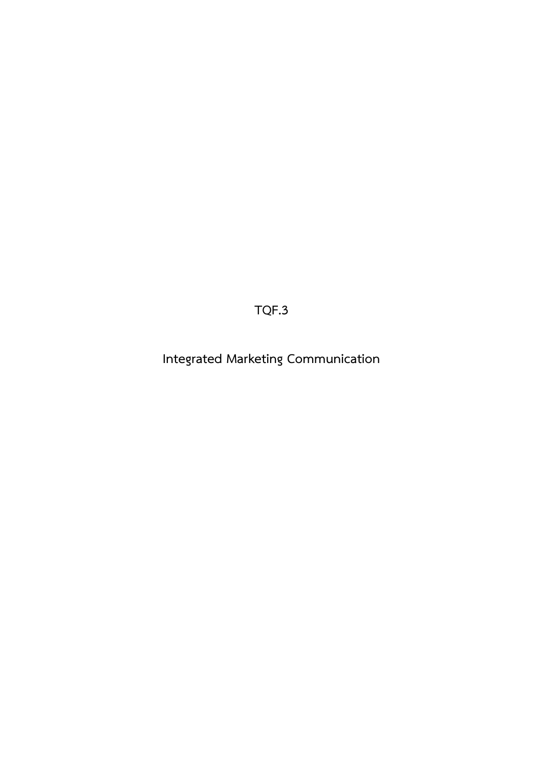**TQF.3**

**Integrated Marketing Communication**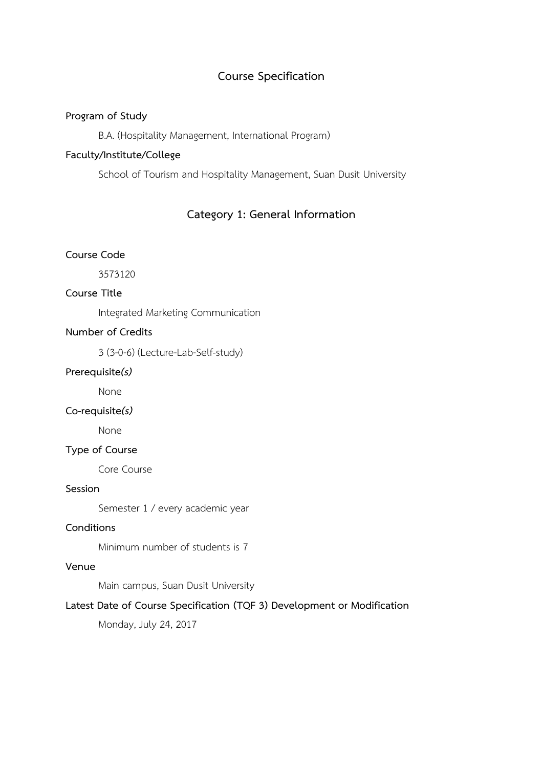# **Course Specification**

## **Program of Study**

B.A. (Hospitality Management, International Program)

# **Faculty/Institute/College**

School of Tourism and Hospitality Management, Suan Dusit University

# **Category 1: General Information**

# **Course Code**

3573120

# **Course Title**

Integrated Marketing Communication

# **Number of Credits**

3 (3-0-6) (Lecture-Lab-Self-study)

### **Prerequisite***(s)*

None

## **Co-requisite***(s)*

None

## **Type of Course**

Core Course

## **Session**

Semester 1 / every academic year

# **Conditions**

Minimum number of students is 7

### **Venue**

Main campus, Suan Dusit University

# **Latest Date of Course Specification (TQF 3) Development or Modification**

Monday, July 24, 2017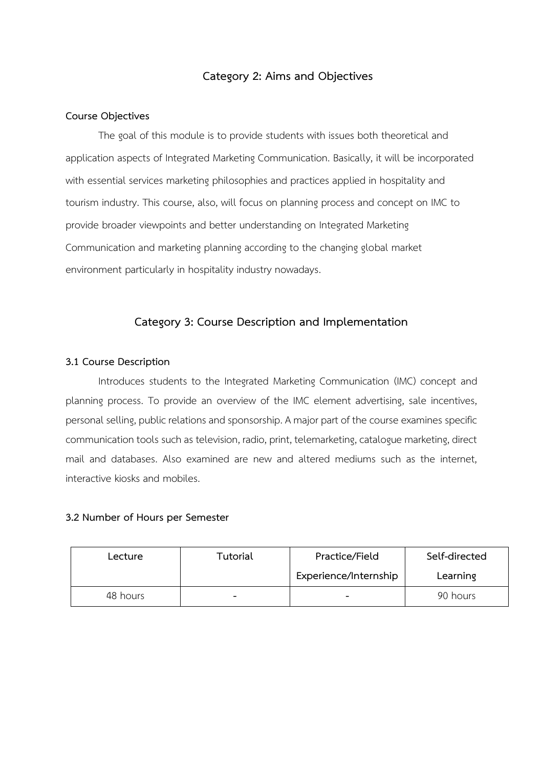# **Category 2: Aims and Objectives**

### **Course Objectives**

The goal of this module is to provide students with issues both theoretical and application aspects of Integrated Marketing Communication. Basically, it will be incorporated with essential services marketing philosophies and practices applied in hospitality and tourism industry. This course, also, will focus on planning process and concept on IMC to provide broader viewpoints and better understanding on Integrated Marketing Communication and marketing planning according to the changing global market environment particularly in hospitality industry nowadays.

# **Category 3: Course Description and Implementation**

## **3.1 Course Description**

Introduces students to the Integrated Marketing Communication (IMC) concept and planning process. To provide an overview of the IMC element advertising, sale incentives, personal selling, public relations and sponsorship. A major part of the course examines specific communication tools such as television, radio, print, telemarketing, catalogue marketing, direct mail and databases. Also examined are new and altered mediums such as the internet, interactive kiosks and mobiles.

## **3.2 Number of Hours per Semester**

| Lecture  | Tutorial                 | Practice/Field           | Self-directed |
|----------|--------------------------|--------------------------|---------------|
|          |                          | Experience/Internship    | Learning      |
| 48 hours | $\overline{\phantom{0}}$ | $\overline{\phantom{0}}$ | 90 hours      |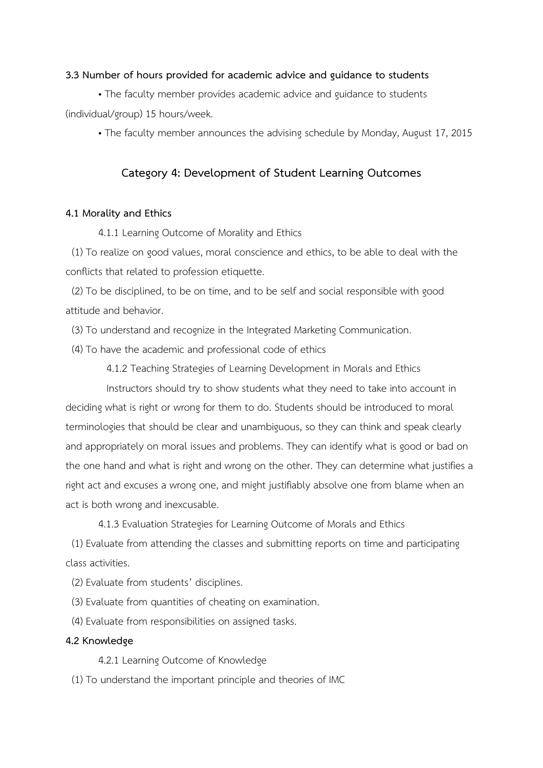### **3.3 Number of hours provided for academic advice and guidance to students**

• The faculty member provides academic advice and guidance to students (individual/group) 15 hours/week.

• The faculty member announces the advising schedule by Monday, August 17, 2015

## **Category 4: Development of Student Learning Outcomes**

### **4.1 Morality and Ethics**

4.1.1 Learning Outcome of Morality and Ethics

 (1) To realize on good values, moral conscience and ethics, to be able to deal with the conflicts that related to profession etiquette.

 (2) To be disciplined, to be on time, and to be self and social responsible with good attitude and behavior.

(3) To understand and recognize in the Integrated Marketing Communication.

(4) To have the academic and professional code of ethics

4.1.2 Teaching Strategies of Learning Development in Morals and Ethics

 Instructors should try to show students what they need to take into account in deciding what is right or wrong for them to do. Students should be introduced to moral terminologies that should be clear and unambiguous, so they can think and speak clearly and appropriately on moral issues and problems. They can identify what is good or bad on the one hand and what is right and wrong on the other. They can determine what justifies a right act and excuses a wrong one, and might justifiably absolve one from blame when an act is both wrong and inexcusable.

4.1.3 Evaluation Strategies for Learning Outcome of Morals and Ethics

 (1) Evaluate from attending the classes and submitting reports on time and participating class activities.

- (2) Evaluate from students' disciplines.
- (3) Evaluate from quantities of cheating on examination.
- (4) Evaluate from responsibilities on assigned tasks.

## **4.2 Knowledge**

4.2.1 Learning Outcome of Knowledge

(1) To understand the important principle and theories of IMC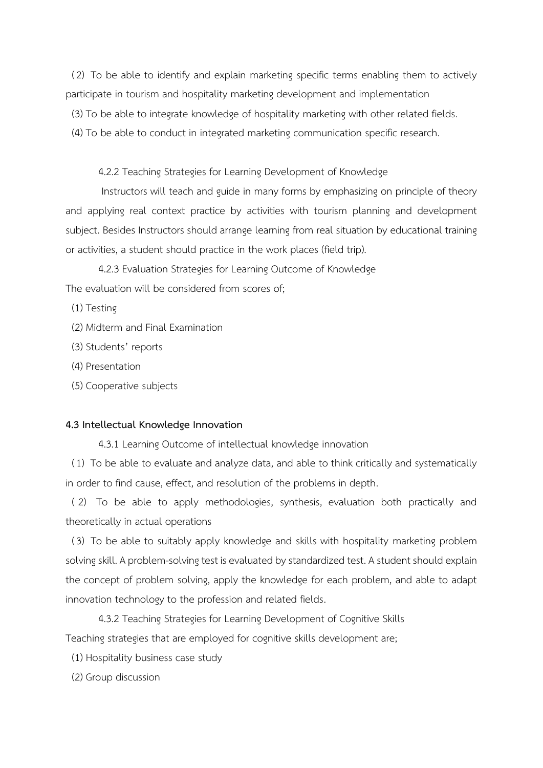(2) To be able to identify and explain marketing specific terms enabling them to actively participate in tourism and hospitality marketing development and implementation

(3) To be able to integrate knowledge of hospitality marketing with other related fields.

(4) To be able to conduct in integrated marketing communication specific research.

4.2.2 Teaching Strategies for Learning Development of Knowledge

Instructors will teach and guide in many forms by emphasizing on principle of theory and applying real context practice by activities with tourism planning and development subject. Besides Instructors should arrange learning from real situation by educational training or activities, a student should practice in the work places (field trip).

4.2.3 Evaluation Strategies for Learning Outcome of Knowledge The evaluation will be considered from scores of;

(1) Testing

- (2) Midterm and Final Examination
- (3) Students' reports
- (4) Presentation
- (5) Cooperative subjects

#### **4.3 Intellectual Knowledge Innovation**

4.3.1 Learning Outcome of intellectual knowledge innovation

 (1) To be able to evaluate and analyze data, and able to think critically and systematically in order to find cause, effect, and resolution of the problems in depth.

 ( 2) To be able to apply methodologies, synthesis, evaluation both practically and theoretically in actual operations

 (3) To be able to suitably apply knowledge and skills with hospitality marketing problem solving skill. A problem-solving test is evaluated by standardized test. A student should explain the concept of problem solving, apply the knowledge for each problem, and able to adapt innovation technology to the profession and related fields.

4.3.2 Teaching Strategies for Learning Development of Cognitive Skills Teaching strategies that are employed for cognitive skills development are;

- (1) Hospitality business case study
- (2) Group discussion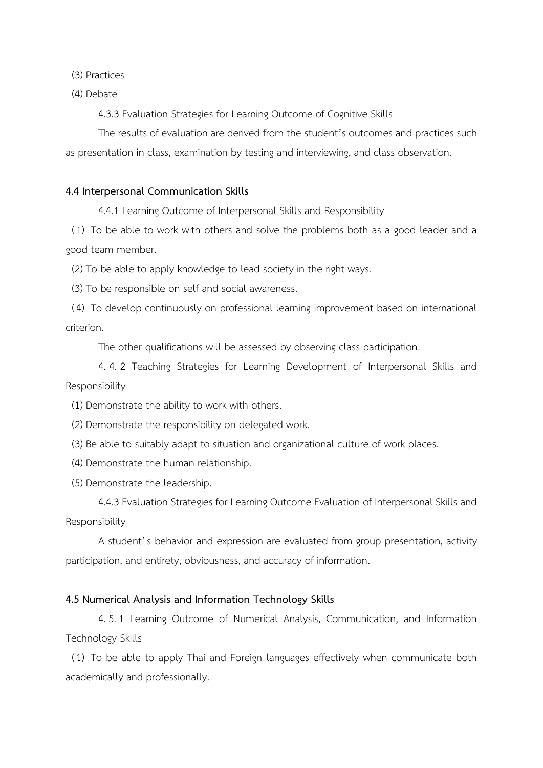(3) Practices

(4) Debate

4.3.3 Evaluation Strategies for Learning Outcome of Cognitive Skills

The results of evaluation are derived from the student's outcomes and practices such as presentation in class, examination by testing and interviewing, and class observation.

#### **4.4 Interpersonal Communication Skills**

4.4.1 Learning Outcome of Interpersonal Skills and Responsibility

 (1) To be able to work with others and solve the problems both as a good leader and a good team member.

(2) To be able to apply knowledge to lead society in the right ways.

(3) To be responsible on self and social awareness.

 (4) To develop continuously on professional learning improvement based on international criterion.

The other qualifications will be assessed by observing class participation.

4. 4. 2 Teaching Strategies for Learning Development of Interpersonal Skills and Responsibility

- (1) Demonstrate the ability to work with others.
- (2) Demonstrate the responsibility on delegated work.
- (3) Be able to suitably adapt to situation and organizational culture of work places.
- (4) Demonstrate the human relationship.
- (5) Demonstrate the leadership.

4.4.3 Evaluation Strategies for Learning Outcome Evaluation of Interpersonal Skills and Responsibility

A student's behavior and expression are evaluated from group presentation, activity participation, and entirety, obviousness, and accuracy of information.

#### **4.5 Numerical Analysis and Information Technology Skills**

4.5.1 Learning Outcome of Numerical Analysis, Communication, and Information Technology Skills

 (1) To be able to apply Thai and Foreign languages effectively when communicate both academically and professionally.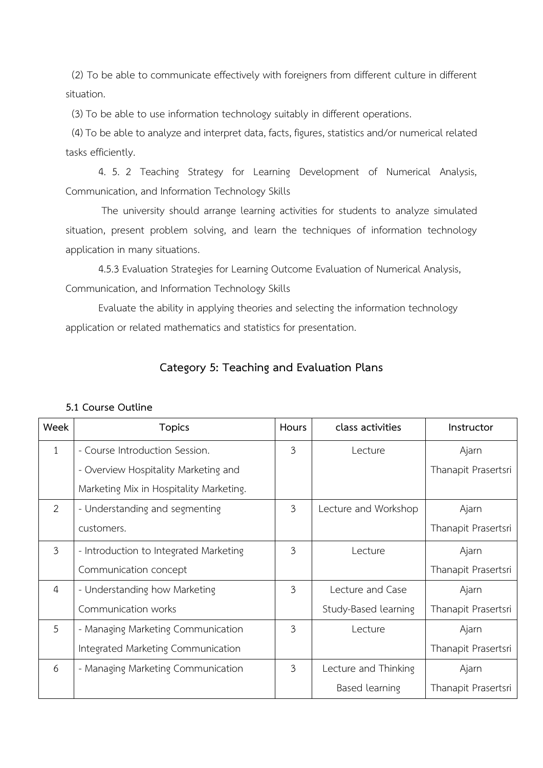(2) To be able to communicate effectively with foreigners from different culture in different situation.

(3) To be able to use information technology suitably in different operations.

 (4) To be able to analyze and interpret data, facts, figures, statistics and/or numerical related tasks efficiently.

4. 5. 2 Teaching Strategy for Learning Development of Numerical Analysis, Communication, and Information Technology Skills

The university should arrange learning activities for students to analyze simulated situation, present problem solving, and learn the techniques of information technology application in many situations.

4.5.3 Evaluation Strategies for Learning Outcome Evaluation of Numerical Analysis, Communication, and Information Technology Skills

Evaluate the ability in applying theories and selecting the information technology application or related mathematics and statistics for presentation.

# **Category 5: Teaching and Evaluation Plans**

| Week           | <b>Topics</b>                           | Hours          | class activities     | Instructor          |
|----------------|-----------------------------------------|----------------|----------------------|---------------------|
| $\mathbf{1}$   | - Course Introduction Session.          | $\overline{3}$ | Lecture              | Ajarn               |
|                | - Overview Hospitality Marketing and    |                |                      | Thanapit Prasertsri |
|                | Marketing Mix in Hospitality Marketing. |                |                      |                     |
| 2              | - Understanding and segmenting          | $\overline{3}$ | Lecture and Workshop | Ajarn               |
|                | customers.                              |                |                      | Thanapit Prasertsri |
| $\mathfrak{Z}$ | - Introduction to Integrated Marketing  | 3              | Lecture              | Ajarn               |
|                | Communication concept                   |                |                      | Thanapit Prasertsri |
| 4              | - Understanding how Marketing           | 3              | Lecture and Case     | Ajarn               |
|                | Communication works                     |                | Study-Based learning | Thanapit Prasertsri |
| 5              | - Managing Marketing Communication      | 3              | Lecture              | Ajarn               |
|                | Integrated Marketing Communication      |                |                      | Thanapit Prasertsri |
| 6              | - Managing Marketing Communication      | $\overline{3}$ | Lecture and Thinking | Ajarn               |
|                |                                         |                | Based learning       | Thanapit Prasertsri |

## **5.1 Course Outline**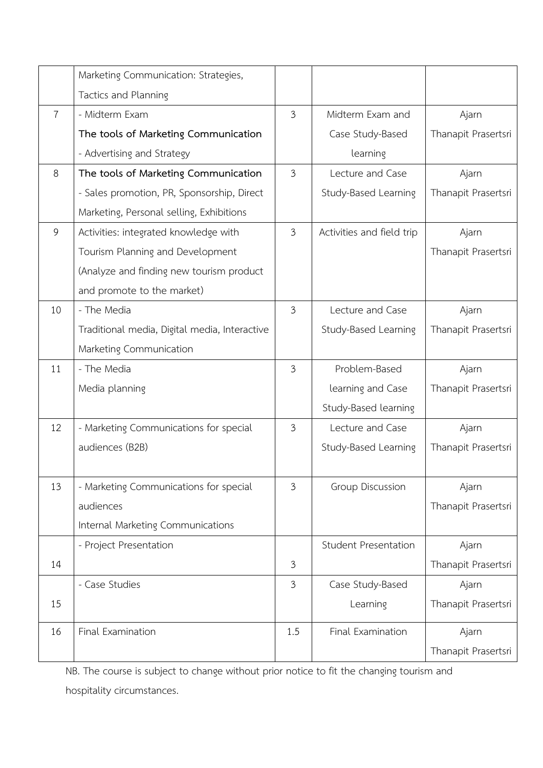|                | Marketing Communication: Strategies,          |                |                             |                              |
|----------------|-----------------------------------------------|----------------|-----------------------------|------------------------------|
|                | Tactics and Planning                          |                |                             |                              |
| $\overline{7}$ | - Midterm Exam                                | $\overline{3}$ | Midterm Exam and            | Ajarn                        |
|                | The tools of Marketing Communication          |                | Case Study-Based            | Thanapit Prasertsri          |
|                | - Advertising and Strategy                    |                | learning                    |                              |
| 8              | The tools of Marketing Communication          | $\mathfrak{Z}$ | Lecture and Case            | Ajarn                        |
|                | - Sales promotion, PR, Sponsorship, Direct    |                | Study-Based Learning        | Thanapit Prasertsri          |
|                | Marketing, Personal selling, Exhibitions      |                |                             |                              |
| 9              | Activities: integrated knowledge with         | $\mathfrak{Z}$ | Activities and field trip   | Ajarn                        |
|                | Tourism Planning and Development              |                |                             | Thanapit Prasertsri          |
|                | (Analyze and finding new tourism product      |                |                             |                              |
|                | and promote to the market)                    |                |                             |                              |
| 10             | - The Media                                   | 3              | Lecture and Case            | Ajarn                        |
|                | Traditional media, Digital media, Interactive |                | Study-Based Learning        | Thanapit Prasertsri          |
|                | Marketing Communication                       |                |                             |                              |
| 11             | - The Media                                   | 3              | Problem-Based               | Ajarn                        |
|                |                                               |                |                             |                              |
|                | Media planning                                |                | learning and Case           | Thanapit Prasertsri          |
|                |                                               |                | Study-Based learning        |                              |
| 12             | - Marketing Communications for special        | 3              | Lecture and Case            | Ajarn                        |
|                | audiences (B2B)                               |                | Study-Based Learning        | Thanapit Prasertsri          |
|                |                                               |                |                             |                              |
| 13             | - Marketing Communications for special        | 3              | <b>Group Discussion</b>     | Ajarn                        |
|                | audiences                                     |                |                             | Thanapit Prasertsri          |
|                | Internal Marketing Communications             |                |                             |                              |
|                | - Project Presentation                        |                | <b>Student Presentation</b> | Ajarn                        |
| 14             |                                               | 3              |                             | Thanapit Prasertsri          |
|                | - Case Studies                                | 3              | Case Study-Based            | Ajarn                        |
| 15             |                                               |                | Learning                    | Thanapit Prasertsri          |
|                |                                               |                |                             |                              |
| 16             | Final Examination                             | 1.5            | Final Examination           | Ajarn<br>Thanapit Prasertsri |

NB. The course is subject to change without prior notice to fit the changing tourism and hospitality circumstances.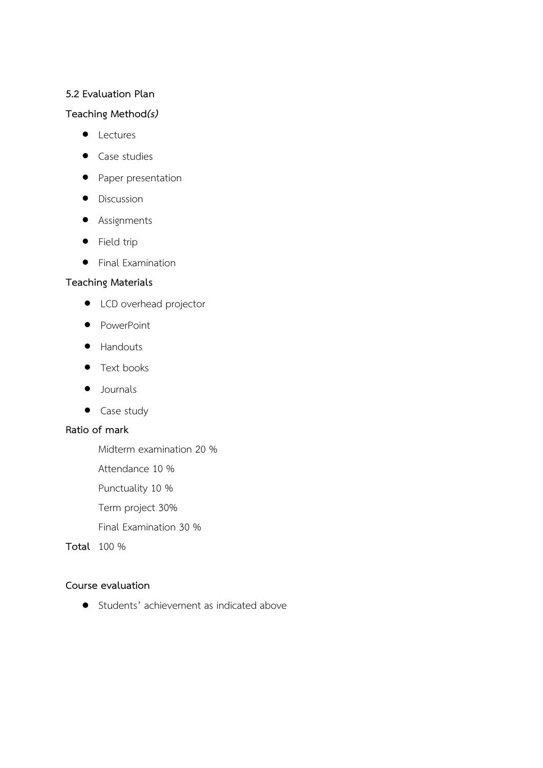## **5.2 Evaluation Plan**

## **Teaching Method***(s)*

- Lectures
- Case studies
- Paper presentation
- Discussion
- Assignments
- Field trip
- Final Examination

# **Teaching Materials**

- LCD overhead projector
- PowerPoint
- Handouts
- Text books
- Journals
- Case study

# **Ratio of mark**

Midterm examination 20 %

Attendance 10 %

Punctuality 10 %

Term project 30%

Final Examination 30 %

**Total** 100 %

## **Course evaluation**

• Students' achievement as indicated above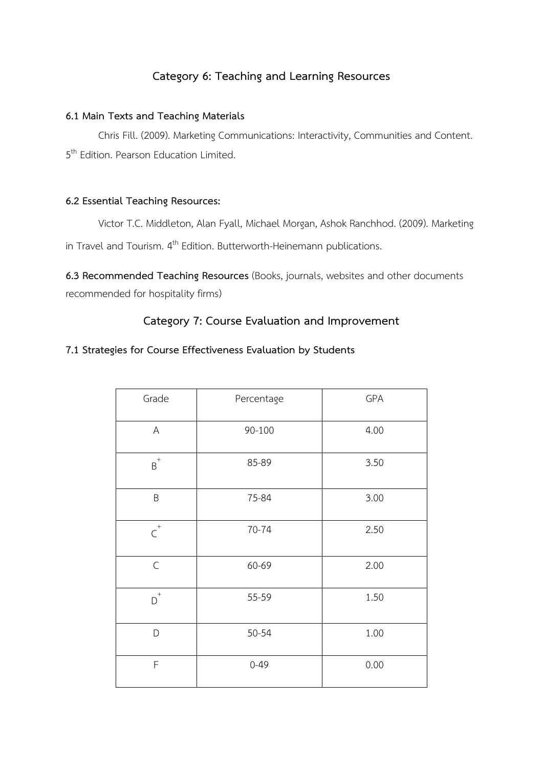# **Category 6: Teaching and Learning Resources**

# **6.1 Main Texts and Teaching Materials**

Chris Fill. (2009). Marketing Communications: Interactivity, Communities and Content. 5<sup>th</sup> Edition. Pearson Education Limited.

# **6.2 Essential Teaching Resources:**

Victor T.C. Middleton, Alan Fyall, Michael Morgan, Ashok Ranchhod. (2009). Marketing in Travel and Tourism. 4<sup>th</sup> Edition. Butterworth-Heinemann publications.

**6.3 Recommended Teaching Resources** (Books, journals, websites and other documents recommended for hospitality firms)

# **Category 7: Course Evaluation and Improvement**

# **7.1 Strategies for Course Effectiveness Evaluation by Students**

| Grade                       | Percentage | GPA  |
|-----------------------------|------------|------|
| A                           | 90-100     | 4.00 |
| $\mbox{\bf B}^+$            | 85-89      | 3.50 |
| $\sf B$                     | 75-84      | 3.00 |
| $\overline{\textsf{C}}^{+}$ | 70-74      | 2.50 |
| $\mathsf C$                 | 60-69      | 2.00 |
| $D^+$                       | 55-59      | 1.50 |
| D                           | 50-54      | 1.00 |
| F                           | $0 - 49$   | 0.00 |